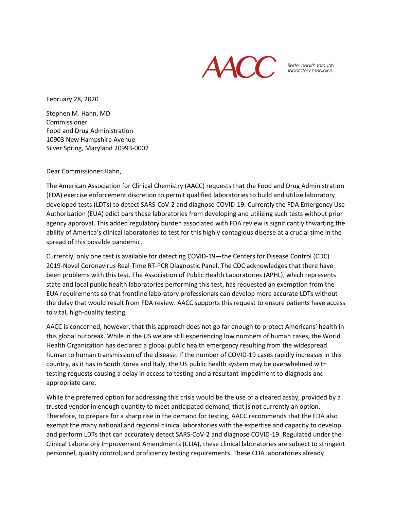

**Better health through** laboratory medicine.

February 28, 2020

Stephen M. Hahn, MD Commissioner Food and Drug Administration 10903 New Hampshire Avenue Silver Spring, Maryland 20993-0002

Dear Commissioner Hahn,

The American Association for Clinical Chemistry (AACC) requests that the Food and Drug Administration (FDA) exercise enforcement discretion to permit qualified laboratories to build and utilize laboratory developed tests (LDTs) to detect SARS-CoV-2 and diagnose COVID-19. Currently the FDA Emergency Use Authorization (EUA) edict bars these laboratories from developing and utilizing such tests without prior agency approval. This added regulatory burden associated with FDA review is significantly thwarting the ability of America's clinical laboratories to test for this highly contagious disease at a crucial time in the spread of this possible pandemic.

Currently, only one test is available for detecting COVID-19—the Centers for Disease Control (CDC) 2019-Novel Coronavirus Real-Time RT-PCR Diagnostic Panel. The CDC acknowledges that there have been problems with this test. The Association of Public Health Laboratories (APHL), which represents state and local public health laboratories performing this test, has requested an exemption from the EUA requirements so that frontline laboratory professionals can develop more accurate LDTs without the delay that would result from FDA review. AACC supports this request to ensure patients have access to vital, high-quality testing.

AACC is concerned, however, that this approach does not go far enough to protect Americans' health in this global outbreak. While in the US we are still experiencing low numbers of human cases, the World Health Organization has declared a global public health emergency resulting from the widespread human to human transmission of the disease. If the number of COVID-19 cases rapidly increases in this country, as it has in South Korea and Italy, the US public health system may be overwhelmed with testing requests causing a delay in access to testing and a resultant impediment to diagnosis and appropriate care.

While the preferred option for addressing this crisis would be the use of a cleared assay, provided by a trusted vendor in enough quantity to meet anticipated demand, that is not currently an option. Therefore, to prepare for a sharp rise in the demand for testing, AACC recommends that the FDA also exempt the many national and regional clinical laboratories with the expertise and capacity to develop and perform LDTs that can accurately detect SARS-CoV-2 and diagnose COVID-19. Regulated under the Clinical Laboratory Improvement Amendments (CLIA), these clinical laboratories are subject to stringent personnel, quality control, and proficiency testing requirements. These CLIA laboratories already